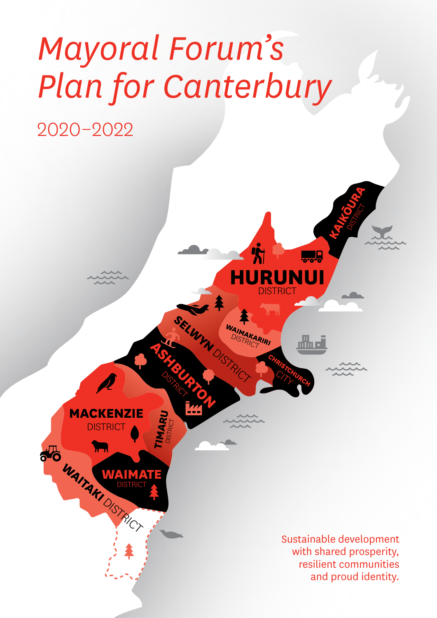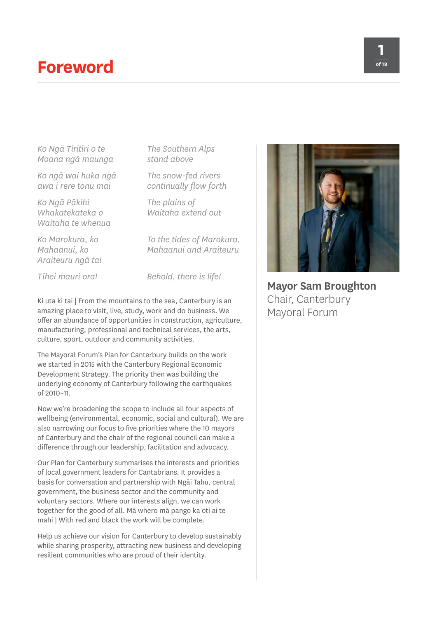### **Foreword**

*Ko Ngā Tiritiri o te Moana ngā maunga*

*Ko ngā wai huka ngā awa i rere tonu mai*

*Ko Ngā Pākihi Whakatekateka o Waitaha te whenua*

*Ko Marokura, ko Mahaanui, ko Araiteuru ngā tai*

*Tīhei mauri ora!*

*To the tides of Marokura, Mahaanui and Araiteuru*

*The Southern Alps stand above*

*The snow-fed rivers continually flow forth*

*Waitaha extend out*

*The plains of* 

*Behold, there is life!*

Ki uta ki tai | From the mountains to the sea, Canterbury is an amazing place to visit, live, study, work and do business. We offer an abundance of opportunities in construction, agriculture, manufacturing, professional and technical services, the arts, culture, sport, outdoor and community activities.

The Mayoral Forum's Plan for Canterbury builds on the work we started in 2015 with the Canterbury Regional Economic Development Strategy. The priority then was building the underlying economy of Canterbury following the earthquakes of 2010–11.

Now we're broadening the scope to include all four aspects of wellbeing (environmental, economic, social and cultural). We are also narrowing our focus to five priorities where the 10 mayors of Canterbury and the chair of the regional council can make a difference through our leadership, facilitation and advocacy.

Our Plan for Canterbury summarises the interests and priorities of local government leaders for Cantabrians. It provides a basis for conversation and partnership with Ngāi Tahu, central government, the business sector and the community and voluntary sectors. Where our interests align, we can work together for the good of all. Mā whero mā pango ka oti ai te mahi | With red and black the work will be complete.

Help us achieve our vision for Canterbury to develop sustainably while sharing prosperity, attracting new business and developing resilient communities who are proud of their identity.



**Mayor Sam Broughton** Chair, Canterbury Mayoral Forum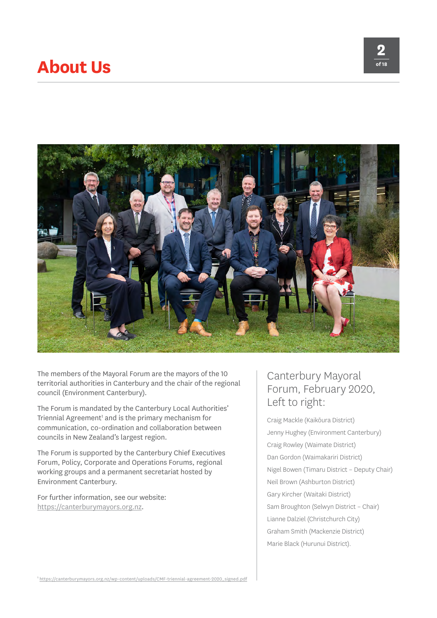### **About Us**





The members of the Mayoral Forum are the mayors of the 10 territorial authorities in Canterbury and the chair of the regional council (Environment Canterbury).

The Forum is mandated by the Canterbury Local Authorities' Triennial Agreement<sup>1</sup> and is the primary mechanism for communication, co-ordination and collaboration between councils in New Zealand's largest region.

The Forum is supported by the Canterbury Chief Executives Forum, Policy, Corporate and Operations Forums, regional working groups and a permanent secretariat hosted by Environment Canterbury.

For further information, see our website: [https://canterburymayors.org.nz.](https://canterburymayors.org.nz/)

### Canterbury Mayoral Forum, February 2020, Left to right:

Craig Mackle (Kaikōura District) Jenny Hughey (Environment Canterbury) Craig Rowley (Waimate District) Dan Gordon (Waimakariri District) Nigel Bowen (Timaru District – Deputy Chair) Neil Brown (Ashburton District) Gary Kircher (Waitaki District) Sam Broughton (Selwyn District – Chair) Lianne Dalziel (Christchurch City) Graham Smith (Mackenzie District) Marie Black (Hurunui District).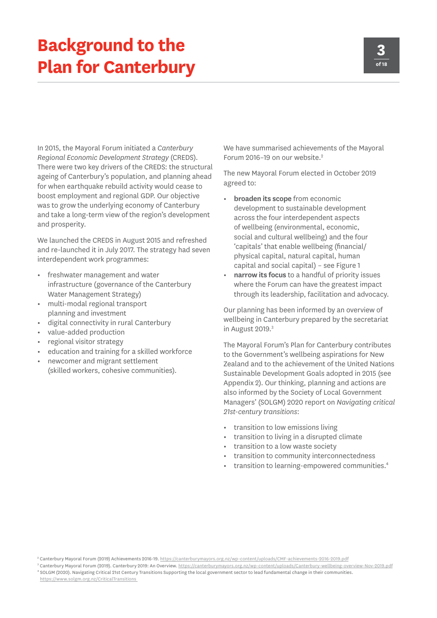## **Background to the Plan for Canterbury**

In 2015, the Mayoral Forum initiated a *Canterbury Regional Economic Development Strategy* (CREDS). There were two key drivers of the CREDS: the structural ageing of Canterbury's population, and planning ahead for when earthquake rebuild activity would cease to boost employment and regional GDP. Our objective was to grow the underlying economy of Canterbury and take a long-term view of the region's development and prosperity.

We launched the CREDS in August 2015 and refreshed and re-launched it in July 2017. The strategy had seven interdependent work programmes:

- **•** freshwater management and water infrastructure (governance of the Canterbury Water Management Strategy)
- **•** multi-modal regional transport planning and investment
- **•** digital connectivity in rural Canterbury
- **•** value-added production
- **•** regional visitor strategy
- **•** education and training for a skilled workforce
- **•** newcomer and migrant settlement (skilled workers, cohesive communities).

We have summarised achievements of the Mayoral Forum 2016-19 on our website.<sup>2</sup>

The new Mayoral Forum elected in October 2019 agreed to:

- **• broaden its scope** from economic development to sustainable development across the four interdependent aspects of wellbeing (environmental, economic, social and cultural wellbeing) and the four 'capitals' that enable wellbeing (financial/ physical capital, natural capital, human capital and social capital) – see Figure 1
- **• narrow its focus** to a handful of priority issues where the Forum can have the greatest impact through its leadership, facilitation and advocacy.

Our planning has been informed by an overview of wellbeing in Canterbury prepared by the secretariat in August 2019.<sup>3</sup>

The Mayoral Forum's Plan for Canterbury contributes to the Government's wellbeing aspirations for New Zealand and to the achievement of the United Nations Sustainable Development Goals adopted in 2015 (see Appendix 2). Our thinking, planning and actions are also informed by the Society of Local Government Managers' (SOLGM) 2020 report on *Navigating critical 21st-century transitions*:

- **•** transition to low emissions living
- **•** transition to living in a disrupted climate
- **•** transition to a low waste society
- **•** transition to community interconnectedness
- **•** transition to learning-empowered communities.4

<sup>&</sup>lt;sup>2</sup> Canterbury Mayoral Forum (2019) Achievements 2016-19.<https://canterburymayors.org.nz/wp-content/uploads/CMF-achievements-2016-2019.pdf>

<sup>&</sup>lt;sup>3</sup> Canterbury Mayoral Forum (2019). Canterbury 2019: An Overview.<https://canterburymayors.org.nz/wp-content/uploads/Canterbury-wellbeing-overview-Nov-2019.pdf> <sup>4</sup> SOLGM (2020). Navigating Critical 21st Century Transitions Supporting the local government sector to lead fundamental change in their communities.

[https://www.solgm.org.nz/CriticalTransitions](https://www.solgm.org.nz/CriticalTransitions )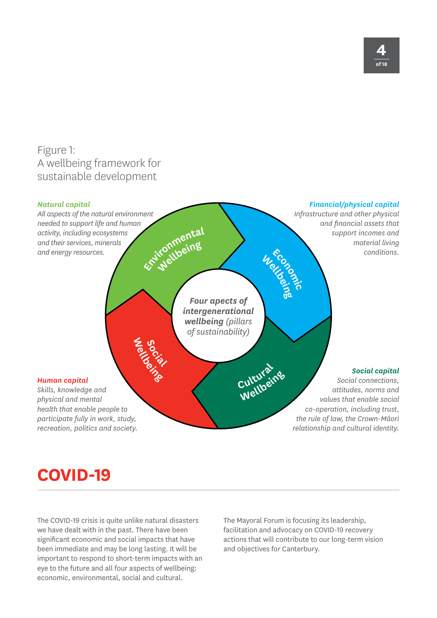### Figure 1: A wellbeing framework for sustainable development



## **COVID-19**

The COVID-19 crisis is quite unlike natural disasters we have dealt with in the past. There have been significant economic and social impacts that have been immediate and may be long lasting. It will be important to respond to short-term impacts with an eye to the future and all four aspects of wellbeing: economic, environmental, social and cultural.

The Mayoral Forum is focusing its leadership, facilitation and advocacy on COVID-19 recovery actions that will contribute to our long-term vision and objectives for Canterbury.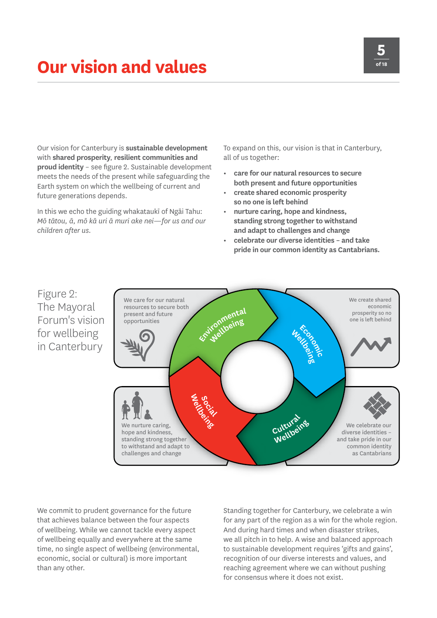## **Our vision and values**

Our vision for Canterbury is **sustainable development** with **shared prosperity**, **resilient communities and proud identity** – see figure 2. Sustainable development meets the needs of the present while safeguarding the Earth system on which the wellbeing of current and future generations depends.

In this we echo the guiding whakataukī of Ngāi Tahu: *Mō tātou, ā, mō kā uri ā muri ake nei—for us and our children after us.*

To expand on this, our vision is that in Canterbury, all of us together:

- **• care for our natural resources to secure both present and future opportunities**
- **• create shared economic prosperity so no one is left behind**
- **• nurture caring, hope and kindness, standing strong together to withstand and adapt to challenges and change**
- **• celebrate our diverse identities and take pride in our common identity as Cantabrians.**



We commit to prudent governance for the future that achieves balance between the four aspects of wellbeing. While we cannot tackle every aspect of wellbeing equally and everywhere at the same time, no single aspect of wellbeing (environmental, economic, social or cultural) is more important than any other.

Standing together for Canterbury, we celebrate a win for any part of the region as a win for the whole region. And during hard times and when disaster strikes, we all pitch in to help. A wise and balanced approach to sustainable development requires 'gifts and gains', recognition of our diverse interests and values, and reaching agreement where we can without pushing for consensus where it does not exist.

### Figure 2: The Mayoral Forum's vision for wellbeing in Canterbury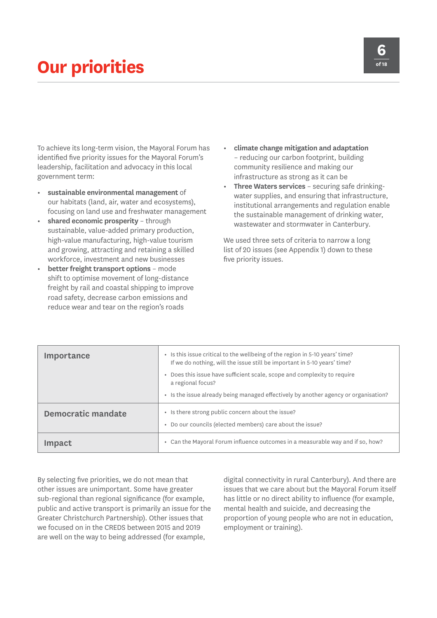## **Our priorities**

To achieve its long-term vision, the Mayoral Forum has identified five priority issues for the Mayoral Forum's leadership, facilitation and advocacy in this local government term:

- **• sustainable environmental management** of our habitats (land, air, water and ecosystems), focusing on land use and freshwater management
- **• shared economic prosperity** through sustainable, value-added primary production, high-value manufacturing, high-value tourism and growing, attracting and retaining a skilled workforce, investment and new businesses
- **• better freight transport options** mode shift to optimise movement of long-distance freight by rail and coastal shipping to improve road safety, decrease carbon emissions and reduce wear and tear on the region's roads
- **• climate change mitigation and adaptation** – reducing our carbon footprint, building community resilience and making our infrastructure as strong as it can be
- **• Three Waters services** securing safe drinkingwater supplies, and ensuring that infrastructure, institutional arrangements and regulation enable the sustainable management of drinking water, wastewater and stormwater in Canterbury.

We used three sets of criteria to narrow a long list of 20 issues (see Appendix 1) down to these five priority issues.

| <b>Importance</b>         | • Is this issue critical to the wellbeing of the region in 5-10 years' time?<br>If we do nothing, will the issue still be important in 5-10 years' time? |
|---------------------------|----------------------------------------------------------------------------------------------------------------------------------------------------------|
|                           | Does this issue have sufficient scale, scope and complexity to require<br>a regional focus?                                                              |
|                           | • Is the issue already being managed effectively by another agency or organisation?                                                                      |
| <b>Democratic mandate</b> | • Is there strong public concern about the issue?<br>Do our councils (elected members) care about the issue?<br>$\bullet$                                |
| Impact                    | Can the Mayoral Forum influence outcomes in a measurable way and if so, how?<br>$\bullet$                                                                |

By selecting five priorities, we do not mean that other issues are unimportant. Some have greater sub-regional than regional significance (for example, public and active transport is primarily an issue for the Greater Christchurch Partnership). Other issues that we focused on in the CREDS between 2015 and 2019 are well on the way to being addressed (for example,

digital connectivity in rural Canterbury). And there are issues that we care about but the Mayoral Forum itself has little or no direct ability to influence (for example, mental health and suicide, and decreasing the proportion of young people who are not in education, employment or training).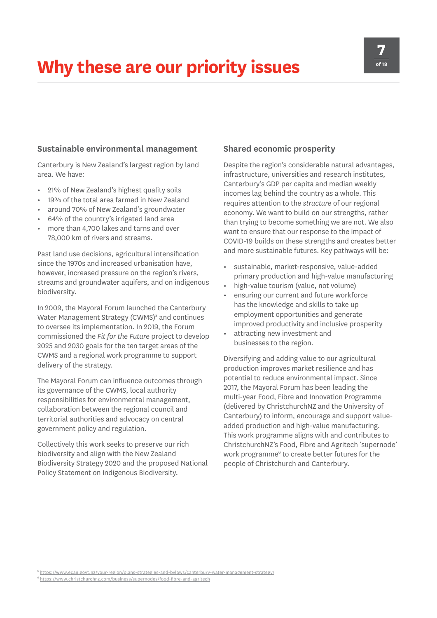# **Why these are our priority issues**

#### **Sustainable environmental management**

Canterbury is New Zealand's largest region by land area. We have:

- **•** 21% of New Zealand's highest quality soils
- **•** 19% of the total area farmed in New Zealand
- **•** around 70% of New Zealand's groundwater
- **•** 64% of the country's irrigated land area
- **•** more than 4,700 lakes and tarns and over 78,000 km of rivers and streams.

Past land use decisions, agricultural intensification since the 1970s and increased urbanisation have, however, increased pressure on the region's rivers, streams and groundwater aquifers, and on indigenous biodiversity.

In 2009, the Mayoral Forum launched the Canterbury Water Management Strategy (CWMS)<sup>5</sup> and continues to oversee its implementation. In 2019, the Forum commissioned the *Fit for the Future* project to develop 2025 and 2030 goals for the ten target areas of the CWMS and a regional work programme to support delivery of the strategy.

The Mayoral Forum can influence outcomes through its governance of the CWMS, local authority responsibilities for environmental management, collaboration between the regional council and territorial authorities and advocacy on central government policy and regulation.

Collectively this work seeks to preserve our rich biodiversity and align with the New Zealand Biodiversity Strategy 2020 and the proposed National Policy Statement on Indigenous Biodiversity.

#### **Shared economic prosperity**

Despite the region's considerable natural advantages, infrastructure, universities and research institutes, Canterbury's GDP per capita and median weekly incomes lag behind the country as a whole. This requires attention to the *structure* of our regional economy. We want to build on our strengths, rather than trying to become something we are not. We also want to ensure that our response to the impact of COVID-19 builds on these strengths and creates better and more sustainable futures. Key pathways will be:

- **•** sustainable, market-responsive, value-added primary production and high-value manufacturing
- **•** high-value tourism (value, not volume)
- **•** ensuring our current and future workforce has the knowledge and skills to take up employment opportunities and generate improved productivity and inclusive prosperity
- **•** attracting new investment and businesses to the region.

Diversifying and adding value to our agricultural production improves market resilience and has potential to reduce environmental impact. Since 2017, the Mayoral Forum has been leading the multi-year Food, Fibre and Innovation Programme (delivered by ChristchurchNZ and the University of Canterbury) to inform, encourage and support valueadded production and high-value manufacturing. This work programme aligns with and contributes to ChristchurchNZ's Food, Fibre and Agritech 'supernode' work programme<sup>6</sup> to create better futures for the people of Christchurch and Canterbury.

<sup>5</sup> [https://www.ecan.govt.nz/your-region/plans-strategies-and-bylaws/canterbury-water-management-strategy/](https://www.ecan.govt.nz/your-region/plans-strategies-and-bylaws/canterbury-water-management-strateg)

<sup>6</sup> <https://www.christchurchnz.com/business/supernodes/food-fibre-and-agritech>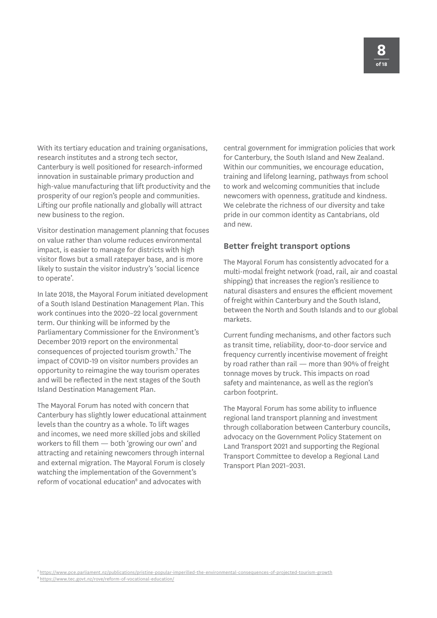With its tertiary education and training organisations, research institutes and a strong tech sector, Canterbury is well positioned for research-informed innovation in sustainable primary production and high-value manufacturing that lift productivity and the prosperity of our region's people and communities. Lifting our profile nationally and globally will attract new business to the region.

Visitor destination management planning that focuses on value rather than volume reduces environmental impact, is easier to manage for districts with high visitor flows but a small ratepayer base, and is more likely to sustain the visitor industry's 'social licence to operate'.

In late 2018, the Mayoral Forum initiated development of a South Island Destination Management Plan. This work continues into the 2020–22 local government term. Our thinking will be informed by the Parliamentary Commissioner for the Environment's December 2019 report on the environmental consequences of projected tourism growth.<sup>7</sup> The impact of COVID-19 on visitor numbers provides an opportunity to reimagine the way tourism operates and will be reflected in the next stages of the South Island Destination Management Plan.

The Mayoral Forum has noted with concern that Canterbury has slightly lower educational attainment levels than the country as a whole. To lift wages and incomes, we need more skilled jobs and skilled workers to fill them — both 'growing our own' and attracting and retaining newcomers through internal and external migration. The Mayoral Forum is closely watching the implementation of the Government's reform of vocational education<sup>8</sup> and advocates with

central government for immigration policies that work for Canterbury, the South Island and New Zealand. Within our communities, we encourage education, training and lifelong learning, pathways from school to work and welcoming communities that include newcomers with openness, gratitude and kindness. We celebrate the richness of our diversity and take pride in our common identity as Cantabrians, old and new.

#### **Better freight transport options**

The Mayoral Forum has consistently advocated for a multi-modal freight network (road, rail, air and coastal shipping) that increases the region's resilience to natural disasters and ensures the efficient movement of freight within Canterbury and the South Island, between the North and South Islands and to our global markets.

Current funding mechanisms, and other factors such as transit time, reliability, door-to-door service and frequency currently incentivise movement of freight by road rather than rail — more than 90% of freight tonnage moves by truck. This impacts on road safety and maintenance, as well as the region's carbon footprint.

The Mayoral Forum has some ability to influence regional land transport planning and investment through collaboration between Canterbury councils, advocacy on the Government Policy Statement on Land Transport 2021 and supporting the Regional Transport Committee to develop a Regional Land Transport Plan 2021–2031.

<sup>7</sup> [https://www.pce.parliament.nz/publications/pristine-popular-imperilled-the-environmental-consequences-of-projected-tourism-growth](https://www.pce.parliament.nz/publications/pristine-popular-imperilled-the-environmental-consequence)

<sup>8</sup> <https://www.tec.govt.nz/rove/reform-of-vocational-education/>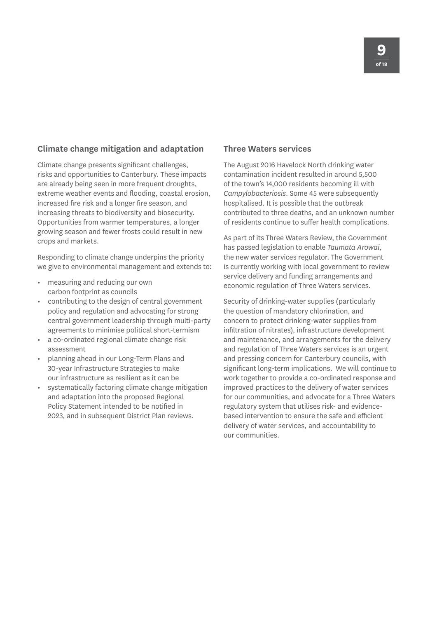#### **Climate change mitigation and adaptation**

Climate change presents significant challenges, risks and opportunities to Canterbury. These impacts are already being seen in more frequent droughts, extreme weather events and flooding, coastal erosion, increased fire risk and a longer fire season, and increasing threats to biodiversity and biosecurity. Opportunities from warmer temperatures, a longer growing season and fewer frosts could result in new crops and markets.

Responding to climate change underpins the priority we give to environmental management and extends to:

- **•** measuring and reducing our own carbon footprint as councils
- **•** contributing to the design of central government policy and regulation and advocating for strong central government leadership through multi-party agreements to minimise political short-termism
- **•** a co-ordinated regional climate change risk assessment
- **•** planning ahead in our Long-Term Plans and 30-year Infrastructure Strategies to make our infrastructure as resilient as it can be
- **•** systematically factoring climate change mitigation and adaptation into the proposed Regional Policy Statement intended to be notified in 2023, and in subsequent District Plan reviews.

#### **Three Waters services**

The August 2016 Havelock North drinking water contamination incident resulted in around 5,500 of the town's 14,000 residents becoming ill with *Campylobacteriosis*. Some 45 were subsequently hospitalised. It is possible that the outbreak contributed to three deaths, and an unknown number of residents continue to suffer health complications.

As part of its Three Waters Review, the Government has passed legislation to enable *Taumata Arowai*, the new water services regulator. The Government is currently working with local government to review service delivery and funding arrangements and economic regulation of Three Waters services.

Security of drinking-water supplies (particularly the question of mandatory chlorination, and concern to protect drinking-water supplies from infiltration of nitrates), infrastructure development and maintenance, and arrangements for the delivery and regulation of Three Waters services is an urgent and pressing concern for Canterbury councils, with significant long-term implications. We will continue to work together to provide a co-ordinated response and improved practices to the delivery of water services for our communities, and advocate for a Three Waters regulatory system that utilises risk- and evidencebased intervention to ensure the safe and efficient delivery of water services, and accountability to our communities.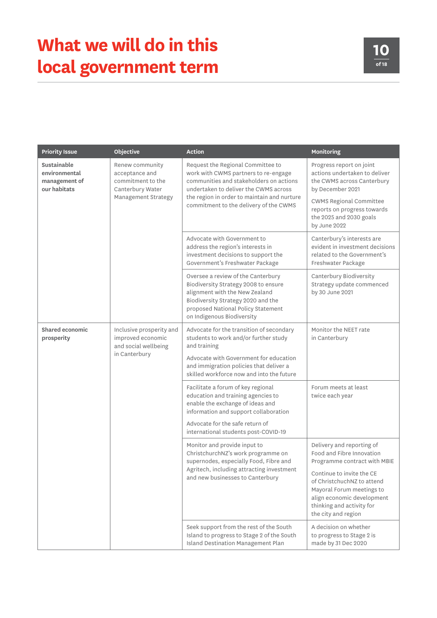| <b>Priority Issue</b>                                                                              | Objective                                                                                         | <b>Action</b>                                                                                                                                                                                                                                          | Monitoring                                                                                                                                                             |
|----------------------------------------------------------------------------------------------------|---------------------------------------------------------------------------------------------------|--------------------------------------------------------------------------------------------------------------------------------------------------------------------------------------------------------------------------------------------------------|------------------------------------------------------------------------------------------------------------------------------------------------------------------------|
| Sustainable<br>environmental<br>management of<br>our habitats                                      | Renew community<br>acceptance and<br>commitment to the<br>Canterbury Water<br>Management Strategy | Request the Regional Committee to<br>work with CWMS partners to re-engage<br>communities and stakeholders on actions<br>undertaken to deliver the CWMS across<br>the region in order to maintain and nurture<br>commitment to the delivery of the CWMS | Progress report on joint<br>actions undertaken to deliver<br>the CWMS across Canterbury<br>by December 2021                                                            |
|                                                                                                    |                                                                                                   |                                                                                                                                                                                                                                                        | <b>CWMS Regional Committee</b><br>reports on progress towards<br>the 2025 and 2030 goals<br>by June 2022                                                               |
|                                                                                                    |                                                                                                   | Advocate with Government to<br>address the region's interests in<br>investment decisions to support the<br>Government's Freshwater Package                                                                                                             | Canterbury's interests are<br>evident in investment decisions<br>related to the Government's<br>Freshwater Package                                                     |
|                                                                                                    |                                                                                                   | Oversee a review of the Canterbury<br>Biodiversity Strategy 2008 to ensure<br>alignment with the New Zealand<br>Biodiversity Strategy 2020 and the<br>proposed National Policy Statement<br>on Indigenous Biodiversity                                 | Canterbury Biodiversity<br>Strategy update commenced<br>by 30 June 2021                                                                                                |
| <b>Shared economic</b><br>improved economic<br>prosperity<br>and social wellbeing<br>in Canterbury | Inclusive prosperity and                                                                          | Advocate for the transition of secondary<br>students to work and/or further study<br>and training                                                                                                                                                      | Monitor the NEET rate<br>in Canterbury                                                                                                                                 |
|                                                                                                    |                                                                                                   | Advocate with Government for education<br>and immigration policies that deliver a<br>skilled workforce now and into the future                                                                                                                         |                                                                                                                                                                        |
|                                                                                                    |                                                                                                   | Facilitate a forum of key regional<br>education and training agencies to<br>enable the exchange of ideas and<br>information and support collaboration                                                                                                  | Forum meets at least<br>twice each year                                                                                                                                |
|                                                                                                    |                                                                                                   | Advocate for the safe return of<br>international students post-COVID-19                                                                                                                                                                                |                                                                                                                                                                        |
|                                                                                                    |                                                                                                   | Monitor and provide input to<br>ChristchurchNZ's work programme on<br>supernodes, especially Food, Fibre and<br>Agritech, including attracting investment<br>and new businesses to Canterbury                                                          | Delivery and reporting of<br>Food and Fibre Innovation<br>Programme contract with MBIE                                                                                 |
|                                                                                                    |                                                                                                   |                                                                                                                                                                                                                                                        | Continue to invite the CE<br>of ChristchuchNZ to attend<br>Mayoral Forum meetings to<br>align economic development<br>thinking and activity for<br>the city and region |
|                                                                                                    |                                                                                                   | Seek support from the rest of the South<br>Island to progress to Stage 2 of the South<br><b>Island Destination Management Plan</b>                                                                                                                     | A decision on whether<br>to progress to Stage 2 is<br>made by 31 Dec 2020                                                                                              |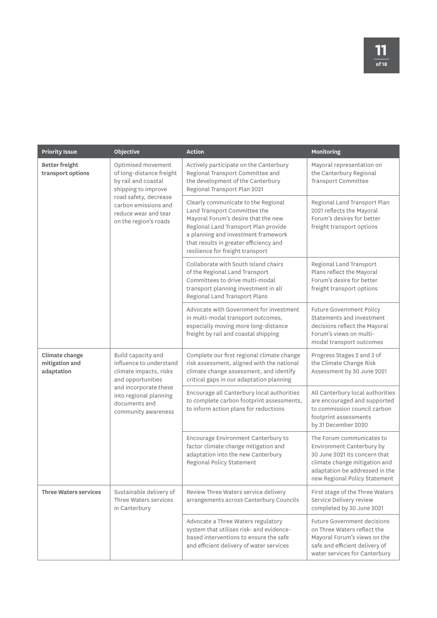| <b>Priority Issue</b>                                                                                                                                                                                                                     | Objective                                                                                                                        | <b>Action</b>                                                                                                                                                                                                                                                           | Monitoring                                                                                                                                                                                  |
|-------------------------------------------------------------------------------------------------------------------------------------------------------------------------------------------------------------------------------------------|----------------------------------------------------------------------------------------------------------------------------------|-------------------------------------------------------------------------------------------------------------------------------------------------------------------------------------------------------------------------------------------------------------------------|---------------------------------------------------------------------------------------------------------------------------------------------------------------------------------------------|
| <b>Better freight</b><br>transport options<br>by rail and coastal<br>shipping to improve<br>road safety, decrease<br>on the region's roads                                                                                                | Optimised movement<br>of long-distance freight                                                                                   | Actively participate on the Canterbury<br>Regional Transport Committee and<br>the development of the Canterbury<br>Regional Transport Plan 2021                                                                                                                         | Mayoral representation on<br>the Canterbury Regional<br>Transport Committee                                                                                                                 |
|                                                                                                                                                                                                                                           | carbon emissions and<br>reduce wear and tear                                                                                     | Clearly communicate to the Regional<br>Land Transport Committee the<br>Mayoral Forum's desire that the new<br>Regional Land Transport Plan provide<br>a planning and investment framework<br>that results in greater efficiency and<br>resilience for freight transport | Regional Land Transport Plan<br>2021 reflects the Mayoral<br>Forum's desires for better<br>freight transport options                                                                        |
|                                                                                                                                                                                                                                           |                                                                                                                                  | Collaborate with South Island chairs<br>of the Regional Land Transport<br>Committees to drive multi-modal<br>transport planning investment in all<br>Regional Land Transport Plans                                                                                      | Regional Land Transport<br>Plans reflect the Mayoral<br>Forum's desire for better<br>freight transport options                                                                              |
|                                                                                                                                                                                                                                           |                                                                                                                                  | Advocate with Government for investment<br>in multi-modal transport outcomes,<br>especially moving more long-distance<br>freight by rail and coastal shipping                                                                                                           | <b>Future Government Policy</b><br>Statements and investment<br>decisions reflect the Mayoral<br>Forum's views on multi-<br>modal transport outcomes                                        |
| Climate change<br>Build capacity and<br>influence to understand<br>mitigation and<br>adaptation<br>climate impacts, risks<br>and opportunities<br>and incorporate these<br>into regional planning<br>documents and<br>community awareness |                                                                                                                                  | Complete our first regional climate change<br>risk assessment, aligned with the national<br>climate change assessment, and identify<br>critical gaps in our adaptation planning                                                                                         | Progress Stages 2 and 3 of<br>the Climate Change Risk<br>Assessment by 30 June 2021                                                                                                         |
|                                                                                                                                                                                                                                           | Encourage all Canterbury local authorities<br>to complete carbon footprint assessments,<br>to inform action plans for reductions | All Canterbury local authorities<br>are encouraged and supported<br>to commission council carbon<br>footprint assessments<br>by 31 December 2020                                                                                                                        |                                                                                                                                                                                             |
|                                                                                                                                                                                                                                           |                                                                                                                                  | Encourage Environment Canterbury to<br>factor climate change mitigation and<br>adaptation into the new Canterbury<br>Regional Policy Statement                                                                                                                          | The Forum communicates to<br>Environment Canterbury by<br>30 June 2021 its concern that<br>climate change mitigation and<br>adaptation be addressed in the<br>new Regional Policy Statement |
| <b>Three Waters services</b><br>Three Waters services<br>in Canterbury                                                                                                                                                                    | Sustainable delivery of                                                                                                          | Review Three Waters service delivery<br>arrangements across Canterbury Councils                                                                                                                                                                                         | First stage of the Three Waters<br>Service Delivery review<br>completed by 30 June 2021                                                                                                     |
|                                                                                                                                                                                                                                           |                                                                                                                                  | Advocate a Three Waters regulatory<br>system that utilises risk- and evidence-<br>based interventions to ensure the safe<br>and efficient delivery of water services                                                                                                    | <b>Future Government decisions</b><br>on Three Waters reflect the<br>Mayoral Forum's views on the<br>safe and efficient delivery of<br>water services for Canterbury                        |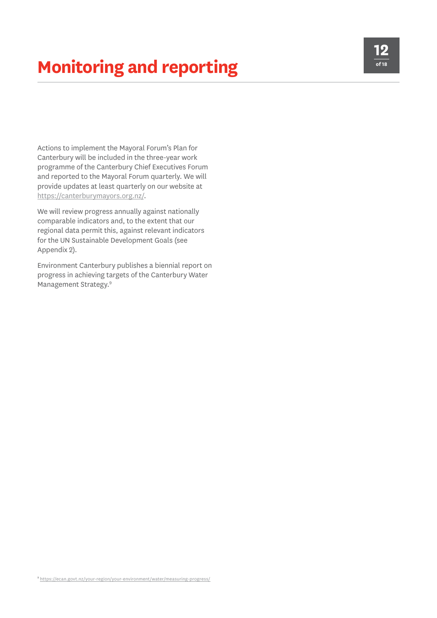# **Monitoring and reporting**

Actions to implement the Mayoral Forum's Plan for Canterbury will be included in the three-year work programme of the Canterbury Chief Executives Forum and reported to the Mayoral Forum quarterly. We will provide updates at least quarterly on our website at <https://canterburymayors.org.nz/>.

We will review progress annually against nationally comparable indicators and, to the extent that our regional data permit this, against relevant indicators for the UN Sustainable Development Goals (see Appendix 2).

Environment Canterbury publishes a biennial report on progress in achieving targets of the Canterbury Water Management Strategy.<sup>9</sup>

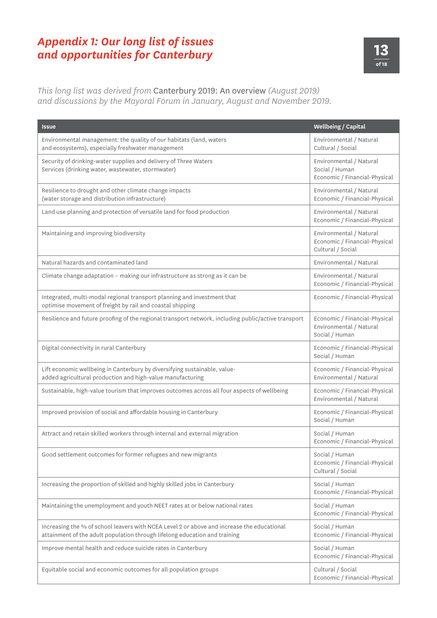### *Appendix 1: Our long list of issues and opportunities for Canterbury*



*This long list was derived from* Canterbury 2019: An overview *(August 2019) and discussions by the Mayoral Forum in January, August and November 2019.*

| <b>Issue</b>                                                                                                                                                             | <b>Wellbeing / Capital</b>                                                    |
|--------------------------------------------------------------------------------------------------------------------------------------------------------------------------|-------------------------------------------------------------------------------|
| Environmental management: the quality of our habitats (land, waters<br>and ecosystems), especially freshwater management                                                 | Environmental / Natural<br>Cultural / Social                                  |
| Security of drinking-water supplies and delivery of Three Waters<br>Services (drinking water, wastewater, stormwater)                                                    | Environmental / Natural<br>Social / Human<br>Economic / Financial-Physical    |
| Resilience to drought and other climate change impacts<br>(water storage and distribution infrastructure)                                                                | Environmental / Natural<br>Economic / Financial-Physical                      |
| Land use planning and protection of versatile land for food production                                                                                                   | Environmental / Natural<br>Economic / Financial-Physical                      |
| Maintaining and improving biodiversity                                                                                                                                   | Environmental / Natural<br>Economic / Financial-Physical<br>Cultural / Social |
| Natural hazards and contaminated land                                                                                                                                    | Environmental / Natural                                                       |
| Climate change adaptation - making our infrastructure as strong as it can be                                                                                             | Environmental / Natural<br>Economic / Financial-Physical                      |
| Integrated, multi-modal regional transport planning and investment that<br>optimise movement of freight by rail and coastal shipping                                     | Economic / Financial-Physical                                                 |
| Resilience and future proofing of the regional transport network, including public/active transport                                                                      | Economic / Financial-Physical<br>Environmental / Natural<br>Social / Human    |
| Digital connectivity in rural Canterbury                                                                                                                                 | Economic / Financial-Physical<br>Social / Human                               |
| Lift economic wellbeing in Canterbury by diversifying sustainable, value-<br>added agricultural production and high-value manufacturing                                  | Economic / Financial-Physical<br>Environmental / Natural                      |
| Sustainable, high-value tourism that improves outcomes across all four aspects of wellbeing                                                                              | Economic / Financial-Physical<br>Environmental / Natural                      |
| Improved provision of social and affordable housing in Canterbury                                                                                                        | Economic / Financial-Physical<br>Social / Human                               |
| Attract and retain skilled workers through internal and external migration                                                                                               | Social / Human<br>Economic / Financial-Physical                               |
| Good settlement outcomes for former refugees and new migrants                                                                                                            | Social / Human<br>Economic / Financial-Physical<br>Cultural / Social          |
| Increasing the proportion of skilled and highly skilled jobs in Canterbury                                                                                               | Social / Human<br>Economic / Financial-Physical                               |
| Maintaining the unemployment and youth NEET rates at or below national rates                                                                                             | Social / Human<br>Economic / Financial-Physical                               |
| Increasing the % of school leavers with NCEA Level 2 or above and increase the educational<br>attainment of the adult population through lifelong education and training | Social / Human<br>Economic / Financial-Physical                               |
| Improve mental health and reduce suicide rates in Canterbury                                                                                                             | Social / Human<br>Economic / Financial-Physical                               |
| Equitable social and economic outcomes for all population groups                                                                                                         | Cultural / Social<br>Economic / Financial-Physical                            |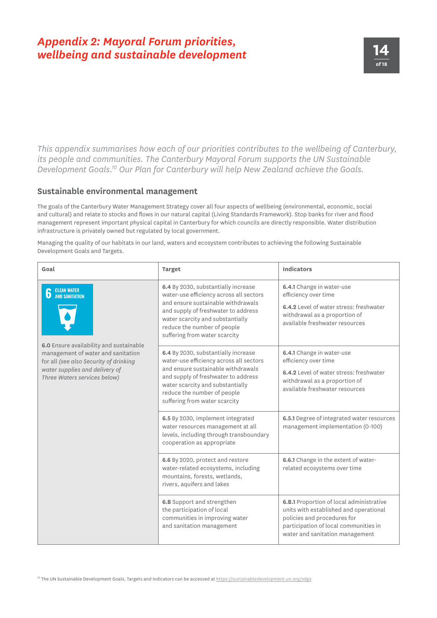# **14** *Appendix 2: Mayoral Forum priorities, wellbeing and sustainable development*

*This appendix summarises how each of our priorities contributes to the wellbeing of Canterbury, its people and communities. The Canterbury Mayoral Forum supports the UN Sustainable Development Goals.10 Our Plan for Canterbury will help New Zealand achieve the Goals.*

#### **Sustainable environmental management**

The goals of the Canterbury Water Management Strategy cover all four aspects of wellbeing (environmental, economic, social and cultural) and relate to stocks and flows in our natural capital (Living Standards Framework). Stop banks for river and flood management represent important physical capital in Canterbury for which councils are directly responsible. Water distribution infrastructure is privately owned but regulated by local government.

Managing the quality of our habitats in our land, waters and ecosystem contributes to achieving the following Sustainable Development Goals and Targets.

| Goal                                                                                                                                                                                      | <b>Target</b>                                                                                                                                                                                                                                                   | <b>Indicators</b>                                                                                                                                                                             |
|-------------------------------------------------------------------------------------------------------------------------------------------------------------------------------------------|-----------------------------------------------------------------------------------------------------------------------------------------------------------------------------------------------------------------------------------------------------------------|-----------------------------------------------------------------------------------------------------------------------------------------------------------------------------------------------|
| <b>CLEAN WATER<br/>AND SANITATION</b>                                                                                                                                                     | 6.4 By 2030, substantially increase<br>water-use efficiency across all sectors<br>and ensure sustainable withdrawals<br>and supply of freshwater to address<br>water scarcity and substantially<br>reduce the number of people<br>suffering from water scarcity | 6.4.1 Change in water-use<br>efficiency over time<br>6.4.2 Level of water stress: freshwater<br>withdrawal as a proportion of<br>available freshwater resources                               |
| 6.0 Ensure availability and sustainable<br>management of water and sanitation<br>for all (see also Security of drinking<br>water supplies and delivery of<br>Three Waters services below) | 6.4 By 2030, substantially increase<br>water-use efficiency across all sectors<br>and ensure sustainable withdrawals<br>and supply of freshwater to address<br>water scarcity and substantially<br>reduce the number of people<br>suffering from water scarcity | 6.4.1 Change in water-use<br>efficiency over time<br>6.4.2 Level of water stress: freshwater<br>withdrawal as a proportion of<br>available freshwater resources                               |
|                                                                                                                                                                                           | 6.5 By 2030, implement integrated<br>water resources management at all<br>levels, including through transboundary<br>cooperation as appropriate                                                                                                                 | 6.5.1 Degree of integrated water resources<br>management implementation (0-100)                                                                                                               |
|                                                                                                                                                                                           | 6.6 By 2020, protect and restore<br>water-related ecosystems, including<br>mountains, forests, wetlands,<br>rivers, aquifers and lakes                                                                                                                          | 6.6.1 Change in the extent of water-<br>related ecosystems over time                                                                                                                          |
|                                                                                                                                                                                           | 6.B Support and strengthen<br>the participation of local<br>communities in improving water<br>and sanitation management                                                                                                                                         | 6.B.1 Proportion of local administrative<br>units with established and operational<br>policies and procedures for<br>participation of local communities in<br>water and sanitation management |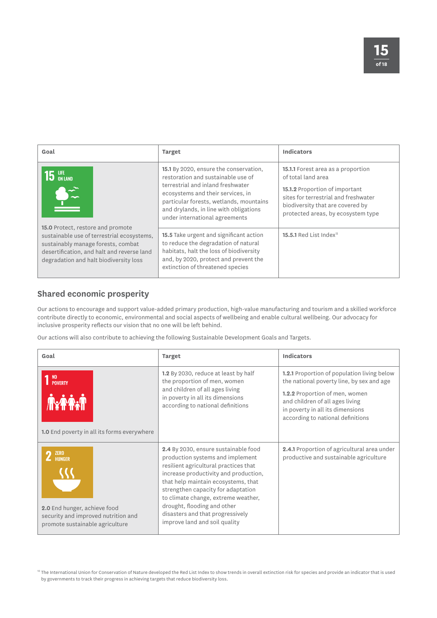| Goal                                                                                                                                                                                                          | <b>Target</b>                                                                                                                                                                                                                                                                 | <b>Indicators</b>                                                                                                                                                                                                          |
|---------------------------------------------------------------------------------------------------------------------------------------------------------------------------------------------------------------|-------------------------------------------------------------------------------------------------------------------------------------------------------------------------------------------------------------------------------------------------------------------------------|----------------------------------------------------------------------------------------------------------------------------------------------------------------------------------------------------------------------------|
|                                                                                                                                                                                                               | 15.1 By 2020, ensure the conservation,<br>restoration and sustainable use of<br>terrestrial and inland freshwater<br>ecosystems and their services, in<br>particular forests, wetlands, mountains<br>and drylands, in line with obligations<br>under international agreements | <b>15.1.1</b> Forest area as a proportion<br>of total land area<br><b>15.1.2</b> Proportion of important<br>sites for terrestrial and freshwater<br>biodiversity that are covered by<br>protected areas, by ecosystem type |
| 15.0 Protect, restore and promote<br>sustainable use of terrestrial ecosystems,<br>sustainably manage forests, combat<br>desertification, and halt and reverse land<br>degradation and halt biodiversity loss | <b>15.5</b> Take urgent and significant action<br>to reduce the degradation of natural<br>habitats, halt the loss of biodiversity<br>and, by 2020, protect and prevent the<br>extinction of threatened species                                                                | 15.5.1 Red List Index <sup>11</sup>                                                                                                                                                                                        |

### **Shared economic prosperity**

Our actions to encourage and support value-added primary production, high-value manufacturing and tourism and a skilled workforce contribute directly to economic, environmental and social aspects of wellbeing and enable cultural wellbeing. Our advocacy for inclusive prosperity reflects our vision that no one will be left behind.

Our actions will also contribute to achieving the following Sustainable Development Goals and Targets.

| Goal                                                                                                                                        | <b>Target</b>                                                                                                                                                                                                                                                                                                                                                                      | <b>Indicators</b>                                                                                                                                                                                                                             |
|---------------------------------------------------------------------------------------------------------------------------------------------|------------------------------------------------------------------------------------------------------------------------------------------------------------------------------------------------------------------------------------------------------------------------------------------------------------------------------------------------------------------------------------|-----------------------------------------------------------------------------------------------------------------------------------------------------------------------------------------------------------------------------------------------|
| N <sub>0</sub><br><b>POVERTY</b><br>1.0 End poverty in all its forms everywhere                                                             | 1.2 By 2030, reduce at least by half<br>the proportion of men, women<br>and children of all ages living<br>in poverty in all its dimensions<br>according to national definitions                                                                                                                                                                                                   | <b>1.2.1</b> Proportion of population living below<br>the national poverty line, by sex and age<br>1.2.2 Proportion of men, women<br>and children of all ages living<br>in poverty in all its dimensions<br>according to national definitions |
| <b>ZERO</b><br>$\mathbb Z$ HUNGER<br>2.0 End hunger, achieve food<br>security and improved nutrition and<br>promote sustainable agriculture | 2.4 By 2030, ensure sustainable food<br>production systems and implement<br>resilient agricultural practices that<br>increase productivity and production,<br>that help maintain ecosystems, that<br>strengthen capacity for adaptation<br>to climate change, extreme weather,<br>drought, flooding and other<br>disasters and that progressively<br>improve land and soil quality | 2.4.1 Proportion of agricultural area under<br>productive and sustainable agriculture                                                                                                                                                         |

10 The International Union for Conservation of Nature developed the Red List Index to show trends in overall extinction risk for species and provide an indicator that is used by governments to track their progress in achieving targets that reduce biodiversity loss.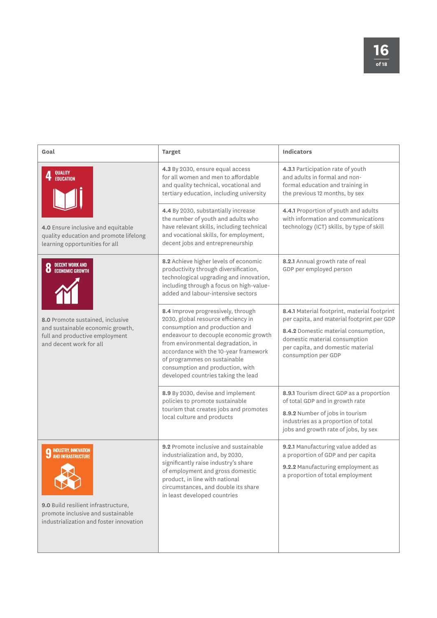| Goal                                                                                                                              | <b>Target</b>                                                                                                                                                                                                                                                                                                                                  | <b>Indicators</b>                                                                                                                                                                                                               |
|-----------------------------------------------------------------------------------------------------------------------------------|------------------------------------------------------------------------------------------------------------------------------------------------------------------------------------------------------------------------------------------------------------------------------------------------------------------------------------------------|---------------------------------------------------------------------------------------------------------------------------------------------------------------------------------------------------------------------------------|
| QUALITY<br>EDUCATION                                                                                                              | 4.3 By 2030, ensure equal access<br>for all women and men to affordable<br>and quality technical, vocational and<br>tertiary education, including university                                                                                                                                                                                   | 4.3.1 Participation rate of youth<br>and adults in formal and non-<br>formal education and training in<br>the previous 12 months, by sex                                                                                        |
| 4.0 Ensure inclusive and equitable<br>quality education and promote lifelong<br>learning opportunities for all                    | 4.4 By 2030, substantially increase<br>the number of youth and adults who<br>have relevant skills, including technical<br>and vocational skills, for employment,<br>decent jobs and entrepreneurship                                                                                                                                           | 4.4.1 Proportion of youth and adults<br>with information and communications<br>technology (ICT) skills, by type of skill                                                                                                        |
| DECENT WORK AND<br>ECONOMIC GROWTH<br>O                                                                                           | 8.2 Achieve higher levels of economic<br>productivity through diversification,<br>technological upgrading and innovation,<br>including through a focus on high-value-<br>added and labour-intensive sectors                                                                                                                                    | 8.2.1 Annual growth rate of real<br>GDP per employed person                                                                                                                                                                     |
| 8.0 Promote sustained, inclusive<br>and sustainable economic growth,<br>full and productive employment<br>and decent work for all | 8.4 Improve progressively, through<br>2030, global resource efficiency in<br>consumption and production and<br>endeavour to decouple economic growth<br>from environmental degradation, in<br>accordance with the 10-year framework<br>of programmes on sustainable<br>consumption and production, with<br>developed countries taking the lead | 8.4.1 Material footprint, material footprint<br>per capita, and material footprint per GDP<br>8.4.2 Domestic material consumption,<br>domestic material consumption<br>per capita, and domestic material<br>consumption per GDP |
|                                                                                                                                   | 8.9 By 2030, devise and implement<br>policies to promote sustainable<br>tourism that creates jobs and promotes<br>local culture and products                                                                                                                                                                                                   | 8.9.1 Tourism direct GDP as a proportion<br>of total GDP and in growth rate<br>8.9.2 Number of jobs in tourism<br>industries as a proportion of total<br>jobs and growth rate of jobs, by sex                                   |
| <b>9 INDUSTRY, INNOVATION</b><br><b>9</b> AND INFRASTRUCTURE                                                                      | 9.2 Promote inclusive and sustainable<br>industrialization and, by 2030,<br>significantly raise industry's share<br>of employment and gross domestic<br>product, in line with national<br>circumstances, and double its share<br>in least developed countries                                                                                  | 9.2.1 Manufacturing value added as<br>a proportion of GDP and per capita<br>9.2.2 Manufacturing employment as<br>a proportion of total employment                                                                               |
| 9.0 Build resilient infrastructure,<br>promote inclusive and sustainable<br>industrialization and foster innovation               |                                                                                                                                                                                                                                                                                                                                                |                                                                                                                                                                                                                                 |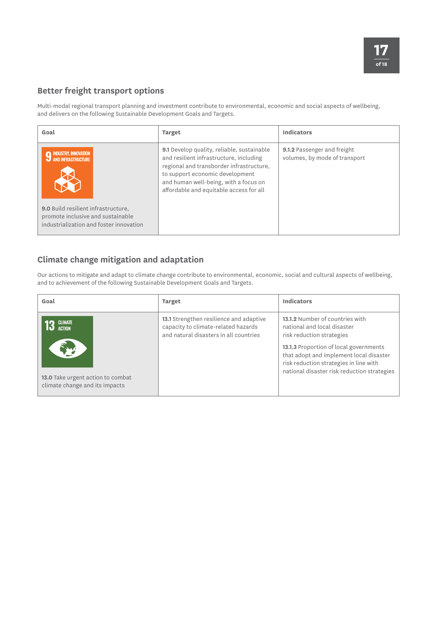### **Better freight transport options**

Multi-modal regional transport planning and investment contribute to environmental, economic and social aspects of wellbeing, and delivers on the following Sustainable Development Goals and Targets.

| Goal                                                                                                                                                                              | <b>Target</b>                                                                                                                                                                                                                                            | Indicators                                                   |
|-----------------------------------------------------------------------------------------------------------------------------------------------------------------------------------|----------------------------------------------------------------------------------------------------------------------------------------------------------------------------------------------------------------------------------------------------------|--------------------------------------------------------------|
| <b>INDUSTRY, INNOVATION</b><br>' AND INFRASTRUCTURE<br><b>9.0</b> Build resilient infrastructure,<br>promote inclusive and sustainable<br>industrialization and foster innovation | 9.1 Develop quality, reliable, sustainable<br>and resilient infrastructure, including<br>regional and transborder infrastructure,<br>to support economic development<br>and human well-being, with a focus on<br>affordable and equitable access for all | 9.1.2 Passenger and freight<br>volumes, by mode of transport |

### **Climate change mitigation and adaptation**

Our actions to mitigate and adapt to climate change contribute to environmental, economic, social and cultural aspects of wellbeing, and to achievement of the following Sustainable Development Goals and Targets.

| Goal                                                                                                   | <b>Target</b>                                                                                                            | Indicators                                                                                                                                                                                                                                                                |
|--------------------------------------------------------------------------------------------------------|--------------------------------------------------------------------------------------------------------------------------|---------------------------------------------------------------------------------------------------------------------------------------------------------------------------------------------------------------------------------------------------------------------------|
| <b>CLIMATE</b><br><b>ACTION</b><br>13.0 Take urgent action to combat<br>climate change and its impacts | 13.1 Strengthen resilience and adaptive<br>capacity to climate-related hazards<br>and natural disasters in all countries | 13.1.2 Number of countries with<br>national and local disaster<br>risk reduction strategies<br>13.1.3 Proportion of local governments<br>that adopt and implement local disaster<br>risk reduction strategies in line with<br>national disaster risk reduction strategies |